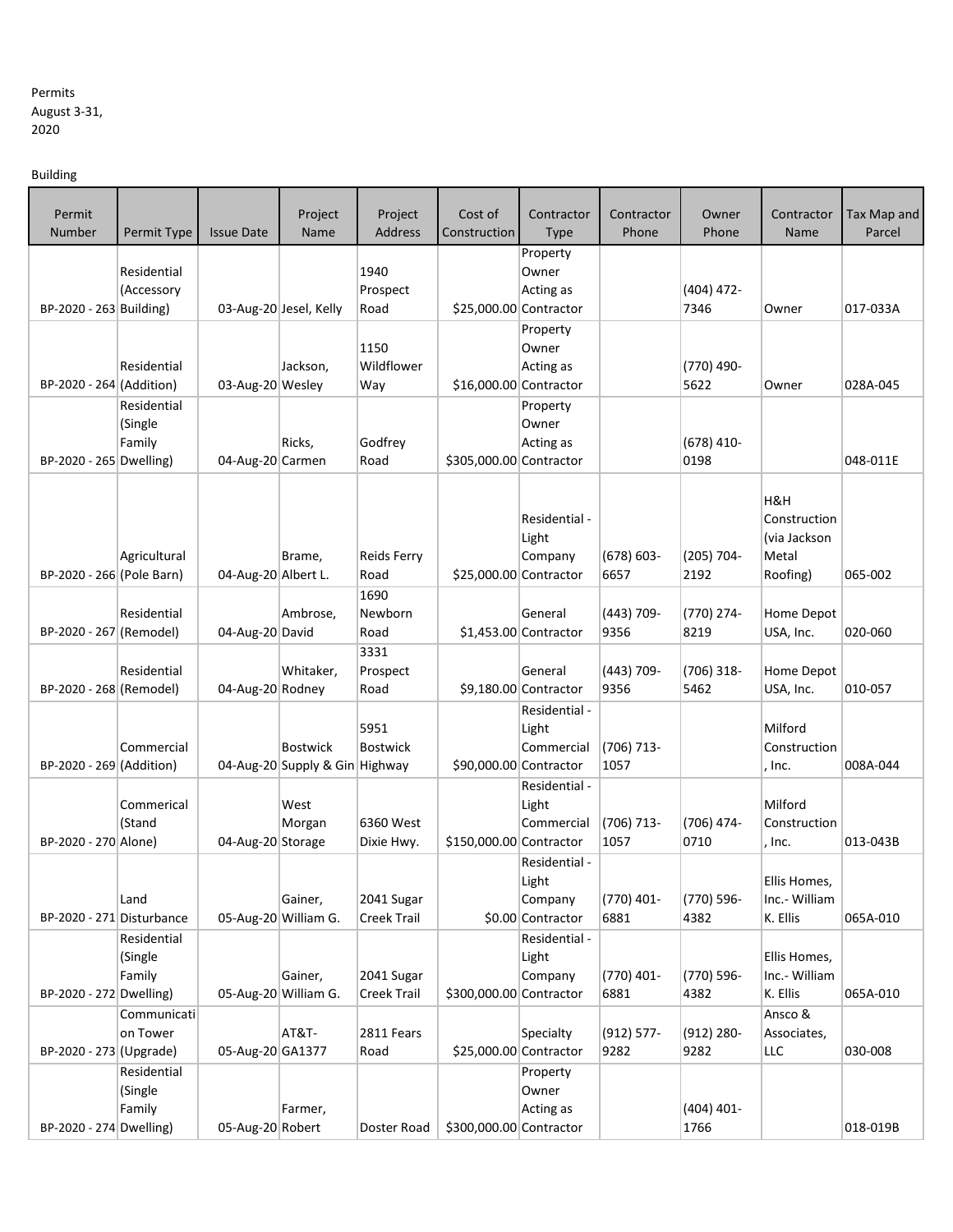## Permits August 3-31, 2020

Building

| Permit                    |                        |                      | Project                        | Project                    | Cost of                 | Contractor                        | Contractor            | Owner              | Contractor        | Tax Map and |
|---------------------------|------------------------|----------------------|--------------------------------|----------------------------|-------------------------|-----------------------------------|-----------------------|--------------------|-------------------|-------------|
| Number                    | Permit Type            | <b>Issue Date</b>    | Name                           | Address                    | Construction            | <b>Type</b>                       | Phone                 | Phone              | Name              | Parcel      |
|                           |                        |                      |                                |                            |                         | Property                          |                       |                    |                   |             |
|                           | Residential            |                      |                                | 1940                       |                         | Owner                             |                       |                    |                   |             |
|                           | (Accessory             |                      |                                | Prospect                   |                         | Acting as                         |                       | $(404)$ 472-       |                   |             |
| BP-2020 - 263 Building)   |                        |                      | 03-Aug-20 Jesel, Kelly         | Road                       |                         | \$25,000.00 Contractor            |                       | 7346               | Owner             | 017-033A    |
|                           |                        |                      |                                | 1150                       |                         | Property                          |                       |                    |                   |             |
|                           | Residential            |                      | Jackson,                       | Wildflower                 |                         | Owner<br>Acting as                |                       | (770) 490-         |                   |             |
| BP-2020 - 264 (Addition)  |                        | 03-Aug-20 Wesley     |                                | Way                        |                         | \$16,000.00 Contractor            |                       | 5622               | Owner             | 028A-045    |
|                           | Residential            |                      |                                |                            |                         | Property                          |                       |                    |                   |             |
|                           | (Single                |                      |                                |                            |                         | Owner                             |                       |                    |                   |             |
|                           | Family                 |                      | Ricks,                         | Godfrey                    |                         | Acting as                         |                       | $(678)$ 410-       |                   |             |
| BP-2020 - 265 Dwelling)   |                        | 04-Aug-20 Carmen     |                                | Road                       | \$305,000.00 Contractor |                                   |                       | 0198               |                   | 048-011E    |
|                           |                        |                      |                                |                            |                         |                                   |                       |                    |                   |             |
|                           |                        |                      |                                |                            |                         |                                   |                       |                    | H&H               |             |
|                           |                        |                      |                                |                            |                         | Residential -                     |                       |                    | Construction      |             |
|                           |                        |                      |                                |                            |                         | Light                             |                       |                    | (via Jackson      |             |
| BP-2020 - 266 (Pole Barn) | Agricultural           | 04-Aug-20 Albert L.  | Brame,                         | <b>Reids Ferry</b><br>Road |                         | Company<br>\$25,000.00 Contractor | $(678) 603 -$<br>6657 | (205) 704-<br>2192 | Metal<br>Roofing) | 065-002     |
|                           |                        |                      |                                | 1690                       |                         |                                   |                       |                    |                   |             |
|                           | Residential            |                      | Ambrose,                       | Newborn                    |                         | General                           | (443) 709-            | (770) 274-         | Home Depot        |             |
| BP-2020 - 267 (Remodel)   |                        | 04-Aug-20 David      |                                | Road                       |                         | \$1,453.00 Contractor             | 9356                  | 8219               | USA, Inc.         | 020-060     |
|                           |                        |                      |                                | 3331                       |                         |                                   |                       |                    |                   |             |
|                           | Residential            |                      | Whitaker,                      | Prospect                   |                         | General                           | (443) 709-            | $(706)$ 318-       | Home Depot        |             |
| BP-2020 - 268 (Remodel)   |                        | 04-Aug-20 Rodney     |                                | Road                       |                         | \$9,180.00 Contractor             | 9356                  | 5462               | USA, Inc.         | 010-057     |
|                           |                        |                      |                                |                            |                         | Residential -                     |                       |                    |                   |             |
|                           |                        |                      |                                | 5951                       |                         | Light                             |                       |                    | Milford           |             |
|                           | Commercial             |                      | <b>Bostwick</b>                | <b>Bostwick</b>            |                         | Commercial                        | (706) 713-            |                    | Construction      |             |
| BP-2020 - 269 (Addition)  |                        |                      | 04-Aug-20 Supply & Gin Highway |                            |                         | \$90,000.00 Contractor            | 1057                  |                    | , Inc.            | 008A-044    |
|                           |                        |                      |                                |                            |                         | Residential -                     |                       |                    |                   |             |
|                           | Commerical             |                      | West                           |                            |                         | Light                             |                       |                    | Milford           |             |
| BP-2020 - 270 Alone)      | (Stand                 | 04-Aug-20 Storage    | Morgan                         | 6360 West<br>Dixie Hwy.    | \$150,000.00 Contractor | Commercial                        | (706) 713-<br>1057    | (706) 474-<br>0710 | Construction      | 013-043B    |
|                           |                        |                      |                                |                            |                         | Residential -                     |                       |                    | , Inc.            |             |
|                           |                        |                      |                                |                            |                         | Light                             |                       |                    | Ellis Homes       |             |
|                           | Land                   |                      | Gainer,                        | 2041 Sugar                 |                         | Company                           | (770) 401-            | (770) 596-         | Inc.- William     |             |
| BP-2020 - 271 Disturbance |                        |                      | 05-Aug-20 William G.           | Creek Trail                |                         | \$0.00 Contractor                 | 6881                  | 4382               | K. Ellis          | 065A-010    |
|                           | Residential            |                      |                                |                            |                         | Residential -                     |                       |                    |                   |             |
|                           | (Single                |                      |                                |                            |                         | Light                             |                       |                    | Ellis Homes,      |             |
|                           | Family                 |                      | Gainer,                        | 2041 Sugar                 |                         | Company                           | (770) 401-            | (770) 596-         | Inc.- William     |             |
| BP-2020 - 272 Dwelling)   |                        | 05-Aug-20 William G. |                                | Creek Trail                | \$300,000.00 Contractor |                                   | 6881                  | 4382               | K. Ellis          | 065A-010    |
|                           | Communicati            |                      |                                |                            |                         |                                   |                       |                    | Ansco &           |             |
|                           | on Tower               |                      | AT&T-                          | 2811 Fears                 |                         | Specialty                         | $(912) 577 -$         | $(912) 280 -$      | Associates,       |             |
| BP-2020 - 273 (Upgrade)   |                        | 05-Aug-20 GA1377     |                                | Road                       |                         | \$25,000.00 Contractor            | 9282                  | 9282               | LLC               | 030-008     |
|                           | Residential<br>(Single |                      |                                |                            |                         | Property<br>Owner                 |                       |                    |                   |             |
|                           | Family                 |                      | Farmer,                        |                            |                         | Acting as                         |                       | $(404)$ 401-       |                   |             |
| BP-2020 - 274 Dwelling)   |                        | 05-Aug-20 Robert     |                                | Doster Road                | \$300,000.00 Contractor |                                   |                       | 1766               |                   | 018-019B    |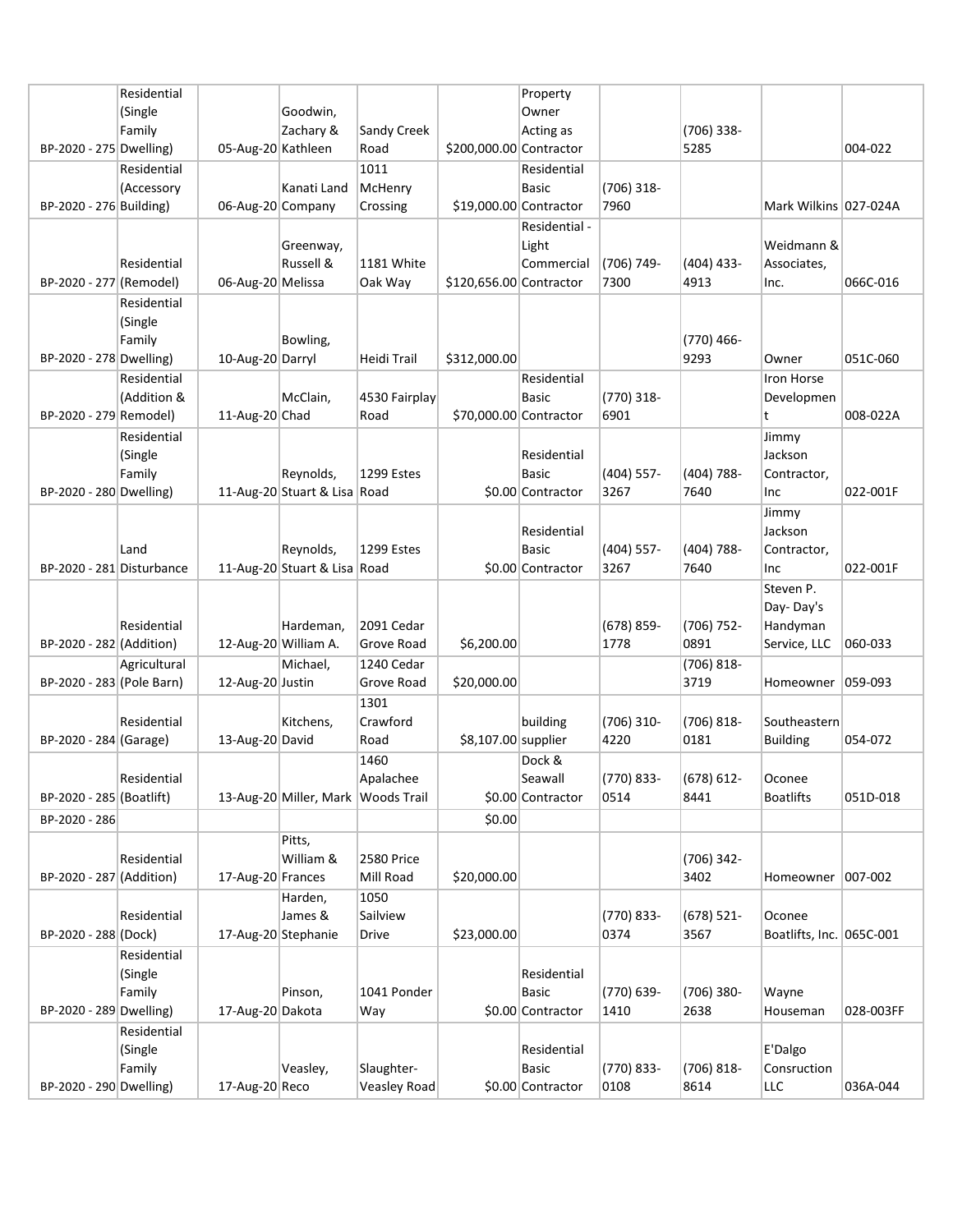|                           | Residential  |                      |                                    |                     |                         | Property          |               |                    |                          |            |
|---------------------------|--------------|----------------------|------------------------------------|---------------------|-------------------------|-------------------|---------------|--------------------|--------------------------|------------|
|                           | (Single      |                      | Goodwin,                           |                     |                         | Owner             |               |                    |                          |            |
|                           | Family       |                      | Zachary &                          | Sandy Creek         |                         | Acting as         |               | $(706)$ 338-       |                          |            |
| BP-2020 - 275 Dwelling)   |              | 05-Aug-20 Kathleen   |                                    | Road                | \$200,000.00 Contractor |                   |               | 5285               |                          | 004-022    |
|                           | Residential  |                      |                                    | 1011                |                         | Residential       |               |                    |                          |            |
|                           | (Accessory   |                      | Kanati Land                        | McHenry             |                         | Basic             | $(706)$ 318-  |                    |                          |            |
| BP-2020 - 276 Building)   |              | 06-Aug-20 Company    |                                    | Crossing            | \$19,000.00 Contractor  |                   | 7960          |                    | Mark Wilkins 027-024A    |            |
|                           |              |                      |                                    |                     |                         |                   |               |                    |                          |            |
|                           |              |                      |                                    |                     |                         | Residential -     |               |                    |                          |            |
|                           |              |                      | Greenway,                          |                     |                         | Light             |               |                    | Weidmann &               |            |
|                           | Residential  |                      | Russell &                          | 1181 White          |                         | Commercial        | (706) 749-    | $(404)$ 433-       | Associates,              |            |
| BP-2020 - 277 (Remodel)   |              | 06-Aug-20 Melissa    |                                    | Oak Way             | \$120,656.00 Contractor |                   | 7300          | 4913               | Inc.                     | 066C-016   |
|                           | Residential  |                      |                                    |                     |                         |                   |               |                    |                          |            |
|                           | (Single      |                      |                                    |                     |                         |                   |               |                    |                          |            |
|                           | Family       |                      | Bowling,                           |                     |                         |                   |               | (770) 466-         |                          |            |
| BP-2020 - 278 Dwelling)   |              | 10-Aug-20 Darryl     |                                    | Heidi Trail         | \$312,000.00            |                   |               | 9293               | Owner                    | 051C-060   |
|                           | Residential  |                      |                                    |                     |                         | Residential       |               |                    | Iron Horse               |            |
|                           | (Addition &  |                      | McClain,                           | 4530 Fairplay       |                         | <b>Basic</b>      | (770) 318-    |                    | Developmen               |            |
| BP-2020 - 279 Remodel)    |              | 11-Aug-20 Chad       |                                    | Road                | \$70,000.00 Contractor  |                   | 6901          |                    | t                        | 008-022A   |
|                           | Residential  |                      |                                    |                     |                         |                   |               |                    | Jimmy                    |            |
|                           | (Single      |                      |                                    |                     |                         | Residential       |               |                    | Jackson                  |            |
|                           | Family       |                      | Reynolds,                          | <b>1299 Estes</b>   |                         | <b>Basic</b>      | $(404)$ 557-  | $(404) 788 -$      | Contractor,              |            |
| BP-2020 - 280 Dwelling)   |              |                      | 11-Aug-20 Stuart & Lisa Road       |                     |                         | \$0.00 Contractor | 3267          | 7640               | Inc                      | 022-001F   |
|                           |              |                      |                                    |                     |                         |                   |               |                    | Jimmy                    |            |
|                           |              |                      |                                    |                     |                         | Residential       |               |                    | Jackson                  |            |
|                           | Land         |                      | Reynolds,                          | 1299 Estes          |                         | <b>Basic</b>      | $(404)$ 557-  | $(404) 788 -$      | Contractor,              |            |
| BP-2020 - 281 Disturbance |              |                      | 11-Aug-20 Stuart & Lisa Road       |                     |                         | \$0.00 Contractor | 3267          | 7640               | Inc                      | 022-001F   |
|                           |              |                      |                                    |                     |                         |                   |               |                    | Steven P.                |            |
|                           |              |                      |                                    |                     |                         |                   |               |                    | Day-Day's                |            |
|                           | Residential  |                      | Hardeman,                          | 2091 Cedar          |                         |                   | $(678) 859 -$ | (706) 752-         | Handyman                 |            |
| BP-2020 - 282 (Addition)  |              | 12-Aug-20 William A. |                                    | Grove Road          | \$6,200.00              |                   | 1778          | 0891               | Service, LLC             | 060-033    |
|                           | Agricultural |                      | Michael,                           | 1240 Cedar          |                         |                   |               | (706) 818-         |                          |            |
| BP-2020 - 283 (Pole Barn) |              | 12-Aug-20 Justin     |                                    | Grove Road          | \$20,000.00             |                   |               | 3719               | Homeowner                | $ 059-093$ |
|                           |              |                      |                                    | 1301                |                         |                   |               |                    |                          |            |
|                           |              |                      |                                    | Crawford            |                         |                   |               |                    |                          |            |
|                           | Residential  | 13-Aug-20 David      | Kitchens,                          |                     |                         | building          | $(706)$ 310-  | (706) 818-<br>0181 | Southeastern             | 054-072    |
| BP-2020 - 284 (Garage)    |              |                      |                                    | Road                | \$8,107.00 supplier     |                   | 4220          |                    | <b>Building</b>          |            |
|                           |              |                      |                                    | 1460                |                         | Dock &            |               |                    |                          |            |
|                           | Residential  |                      |                                    | Apalachee           |                         | Seawall           | (770) 833-    | $(678) 612 -$      | Oconee                   |            |
| BP-2020 - 285 (Boatlift)  |              |                      | 13-Aug-20 Miller, Mark Woods Trail |                     |                         | \$0.00 Contractor | 0514          | 8441               | <b>Boatlifts</b>         | 051D-018   |
| BP-2020 - 286             |              |                      |                                    |                     | \$0.00                  |                   |               |                    |                          |            |
|                           |              |                      | Pitts,                             |                     |                         |                   |               |                    |                          |            |
|                           | Residential  |                      | William &                          | <b>2580 Price</b>   |                         |                   |               | (706) 342-         |                          |            |
| BP-2020 - 287 (Addition)  |              | 17-Aug-20 Frances    |                                    | Mill Road           | \$20,000.00             |                   |               | 3402               | Homeowner   007-002      |            |
|                           |              |                      | Harden,                            | 1050                |                         |                   |               |                    |                          |            |
|                           | Residential  |                      | James &                            | Sailview            |                         |                   | (770) 833-    | $(678)$ 521-       | Oconee                   |            |
| BP-2020 - 288 (Dock)      |              | 17-Aug-20 Stephanie  |                                    | Drive               | \$23,000.00             |                   | 0374          | 3567               | Boatlifts, Inc. 065C-001 |            |
|                           | Residential  |                      |                                    |                     |                         |                   |               |                    |                          |            |
|                           | (Single      |                      |                                    |                     |                         | Residential       |               |                    |                          |            |
|                           | Family       |                      | Pinson,                            | 1041 Ponder         |                         | <b>Basic</b>      | (770) 639-    | $(706)$ 380-       | Wayne                    |            |
| BP-2020 - 289 Dwelling)   |              | 17-Aug-20 Dakota     |                                    | Way                 |                         | \$0.00 Contractor | 1410          | 2638               | Houseman                 | 028-003FF  |
|                           | Residential  |                      |                                    |                     |                         |                   |               |                    |                          |            |
|                           | (Single      |                      |                                    |                     |                         | Residential       |               |                    | E'Dalgo                  |            |
|                           | Family       |                      | Veasley,                           | Slaughter-          |                         | Basic             | (770) 833-    | $(706) 818 -$      | Consruction              |            |
| BP-2020 - 290 Dwelling)   |              | 17-Aug-20 Reco       |                                    | <b>Veasley Road</b> |                         | \$0.00 Contractor | 0108          | 8614               | LLC                      | 036A-044   |
|                           |              |                      |                                    |                     |                         |                   |               |                    |                          |            |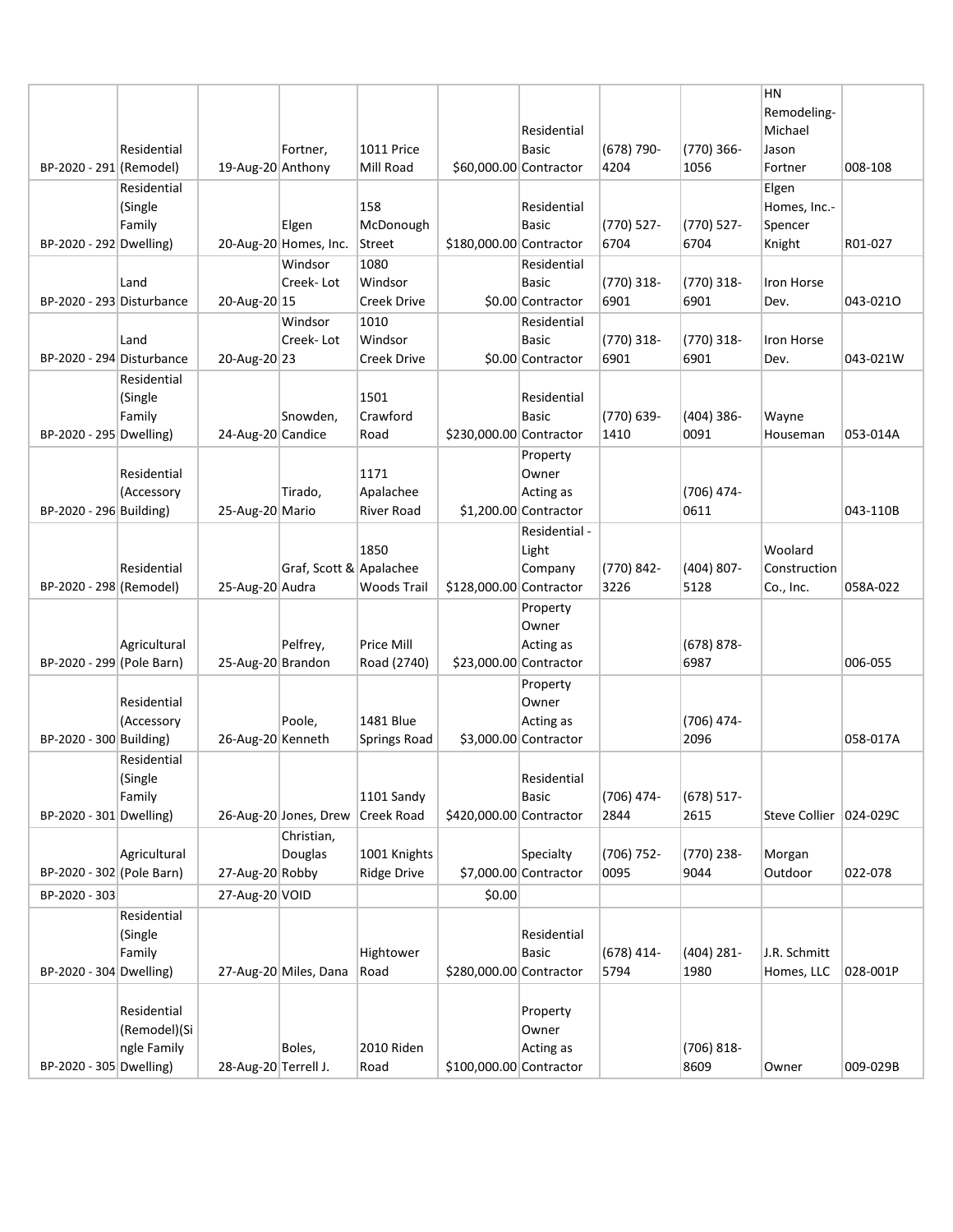|                           |                   |                   |                         |                    |                         |                                    |              |                      | <b>HN</b><br>Remodeling- |          |
|---------------------------|-------------------|-------------------|-------------------------|--------------------|-------------------------|------------------------------------|--------------|----------------------|--------------------------|----------|
|                           |                   |                   |                         |                    |                         | Residential                        |              |                      | Michael                  |          |
|                           | Residential       |                   | Fortner,                | <b>1011 Price</b>  |                         | Basic                              | $(678)$ 790- | $(770)$ 366-         | Jason                    |          |
| BP-2020 - 291 (Remodel)   |                   | 19-Aug-20 Anthony |                         | Mill Road          | \$60,000.00 Contractor  |                                    | 4204         | 1056                 | Fortner                  | 008-108  |
|                           | Residential       |                   |                         |                    |                         |                                    |              |                      | Elgen                    |          |
|                           | (Single           |                   |                         | 158                |                         | Residential                        |              |                      | Homes, Inc.-             |          |
|                           | Family            |                   | Elgen                   | McDonough          |                         | Basic                              | (770) 527-   | (770) 527-           | Spencer                  |          |
| BP-2020 - 292 Dwelling)   |                   |                   | 20-Aug-20 Homes, Inc.   | Street             | \$180,000.00 Contractor |                                    | 6704         | 6704                 | Knight                   | R01-027  |
|                           |                   |                   | Windsor                 | 1080               |                         | Residential                        |              |                      |                          |          |
|                           | Land              |                   | Creek-Lot               | Windsor            |                         | Basic                              | (770) 318-   | $(770)$ 318-         | Iron Horse               |          |
| BP-2020 - 293 Disturbance |                   | 20-Aug-20 15      |                         | <b>Creek Drive</b> |                         | \$0.00 Contractor                  | 6901         | 6901                 | Dev.                     | 043-0210 |
|                           |                   |                   | Windsor                 | 1010               |                         | Residential                        |              |                      |                          |          |
|                           | Land              |                   | Creek-Lot               | Windsor            |                         | Basic                              | (770) 318-   | (770) 318-           | Iron Horse               |          |
| BP-2020 - 294 Disturbance |                   | 20-Aug-20 23      |                         | <b>Creek Drive</b> |                         | \$0.00 Contractor                  | 6901         | 6901                 | Dev.                     | 043-021W |
|                           | Residential       |                   |                         |                    |                         |                                    |              |                      |                          |          |
|                           | (Single           |                   |                         | 1501<br>Crawford   |                         | Residential                        | (770) 639-   |                      |                          |          |
| BP-2020 - 295 Dwelling)   | Family            | 24-Aug-20 Candice | Snowden,                | Road               | \$230,000.00 Contractor | <b>Basic</b>                       | 1410         | $(404)$ 386-<br>0091 | Wayne<br>Houseman        | 053-014A |
|                           |                   |                   |                         |                    |                         |                                    |              |                      |                          |          |
|                           | Residential       |                   |                         | 1171               |                         | Property<br>Owner                  |              |                      |                          |          |
|                           | (Accessory        |                   | Tirado,                 | Apalachee          |                         | Acting as                          |              | $(706)$ 474-         |                          |          |
| BP-2020 - 296 Building)   |                   | 25-Aug-20 Mario   |                         | River Road         |                         | $$1,200.00$ Contractor             |              | 0611                 |                          | 043-110B |
|                           |                   |                   |                         |                    |                         | Residential -                      |              |                      |                          |          |
|                           |                   |                   |                         | 1850               |                         | Light                              |              |                      | Woolard                  |          |
|                           | Residential       |                   | Graf, Scott & Apalachee |                    |                         | Company                            | (770) 842-   | $(404) 807 -$        | Construction             |          |
| BP-2020 - 298 (Remodel)   |                   | 25-Aug-20 Audra   |                         | <b>Woods Trail</b> | \$128,000.00 Contractor |                                    | 3226         | 5128                 | Co., Inc.                | 058A-022 |
|                           |                   |                   |                         |                    |                         | Property                           |              |                      |                          |          |
|                           |                   |                   |                         |                    |                         | Owner                              |              |                      |                          |          |
|                           | Agricultural      |                   | Pelfrey,                | <b>Price Mill</b>  |                         | Acting as                          |              | $(678) 878 -$        |                          |          |
| BP-2020 - 299 (Pole Barn) |                   | 25-Aug-20 Brandon |                         | Road (2740)        | \$23,000.00 Contractor  |                                    |              | 6987                 |                          | 006-055  |
|                           |                   |                   |                         |                    |                         | Property                           |              |                      |                          |          |
|                           | Residential       |                   |                         |                    |                         | Owner                              |              |                      |                          |          |
|                           | (Accessory        |                   | Poole,                  | 1481 Blue          |                         | Acting as                          |              | (706) 474-           |                          |          |
| BP-2020 - 300 Building)   |                   | 26-Aug-20 Kenneth |                         | Springs Road       |                         | \$3,000.00 Contractor              |              | 2096                 |                          | 058-017A |
|                           | Residential       |                   |                         |                    |                         |                                    |              |                      |                          |          |
|                           | (Single           |                   |                         |                    |                         | Residential                        |              |                      |                          |          |
|                           | Family            |                   |                         | 1101 Sandy         |                         | Basic                              | (706) 474-   | $(678) 517 -$        |                          |          |
| BP-2020 - 301 Dwelling)   |                   |                   | 26-Aug-20 Jones, Drew   | <b>Creek Road</b>  | \$420,000.00 Contractor |                                    | 2844         | 2615                 | <b>Steve Collier</b>     | 024-029C |
|                           | Agricultural      |                   | Christian,<br>Douglas   | 1001 Knights       |                         |                                    | (706) 752-   |                      |                          |          |
| BP-2020 - 302 (Pole Barn) |                   | 27-Aug-20 Robby   |                         | <b>Ridge Drive</b> |                         | Specialty<br>\$7,000.00 Contractor | 0095         | (770) 238-<br>9044   | Morgan<br>Outdoor        | 022-078  |
|                           |                   |                   |                         |                    |                         |                                    |              |                      |                          |          |
| BP-2020 - 303             |                   | 27-Aug-20 VOID    |                         |                    | \$0.00                  |                                    |              |                      |                          |          |
|                           | Residential       |                   |                         |                    |                         |                                    |              |                      |                          |          |
|                           | (Single<br>Family |                   |                         | Hightower          |                         | Residential<br><b>Basic</b>        | $(678)$ 414- | (404) 281-           | J.R. Schmitt             |          |
| BP-2020 - 304 Dwelling)   |                   |                   | 27-Aug-20 Miles, Dana   | Road               | \$280,000.00 Contractor |                                    | 5794         | 1980                 | Homes, LLC               | 028-001P |
|                           |                   |                   |                         |                    |                         |                                    |              |                      |                          |          |
|                           | Residential       |                   |                         |                    |                         | Property                           |              |                      |                          |          |
|                           | (Remodel)(Si      |                   |                         |                    |                         | Owner                              |              |                      |                          |          |
|                           |                   |                   |                         |                    |                         |                                    |              |                      |                          |          |
|                           | ngle Family       |                   | Boles,                  | 2010 Riden         |                         | Acting as                          |              | $(706) 818 -$        |                          |          |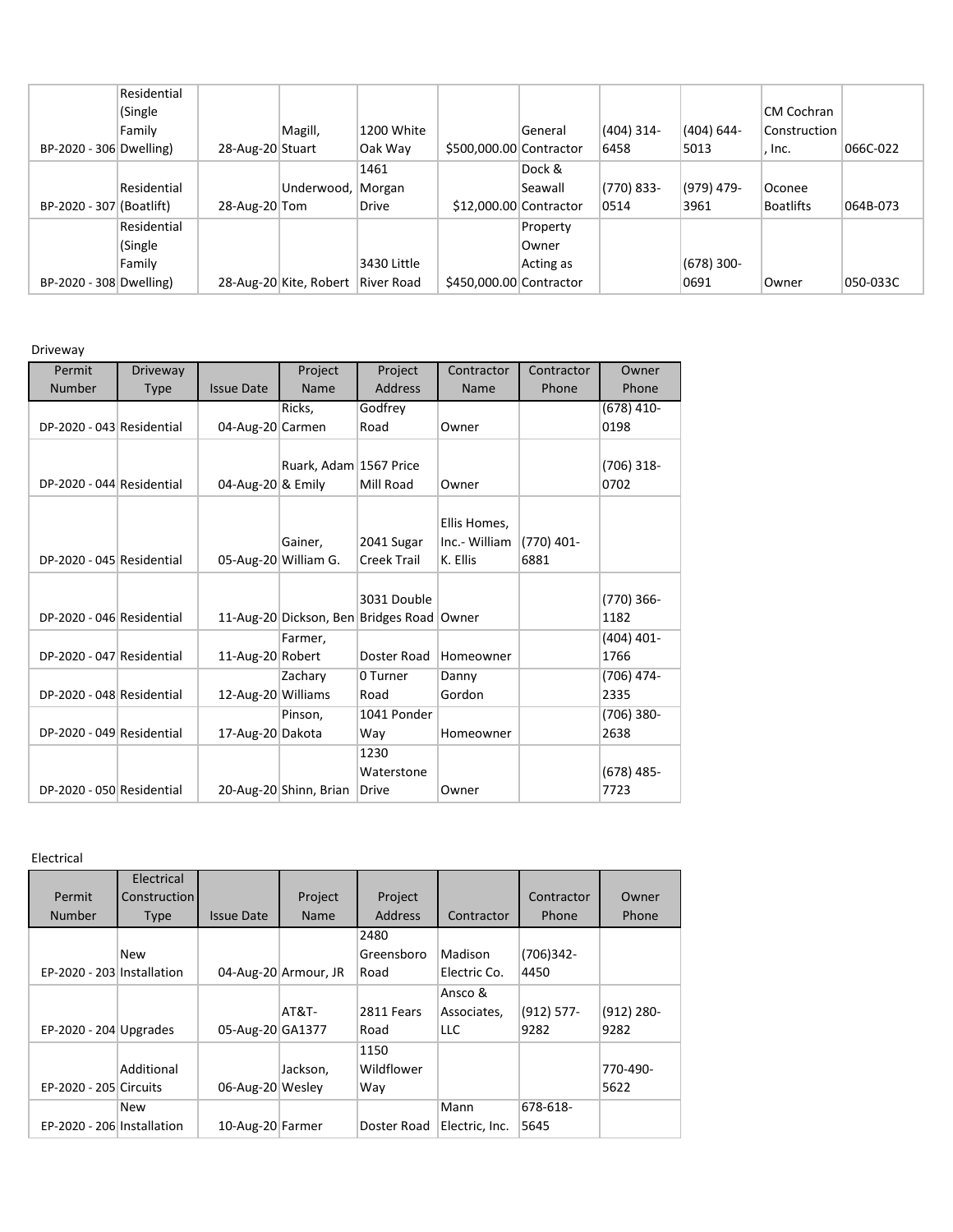|                          | Residential |                  |                        |              |                         |                        |            |               |                  |          |
|--------------------------|-------------|------------------|------------------------|--------------|-------------------------|------------------------|------------|---------------|------------------|----------|
|                          | (Single     |                  |                        |              |                         |                        |            |               | CM Cochran       |          |
|                          | Family      |                  | Magill,                | 1200 White   |                         | General                | (404) 314- | $(404) 644 -$ | Construction     |          |
| BP-2020 - 306 Dwelling)  |             | 28-Aug-20 Stuart |                        | Oak Way      | \$500,000.00 Contractor |                        | 6458       | 5013          | . Inc.           | 066C-022 |
|                          |             |                  |                        | 1461         |                         | Dock &                 |            |               |                  |          |
|                          | Residential |                  | Underwood,             | Morgan       |                         | Seawall                | (770) 833- | $(979)$ 479-  | Oconee           |          |
| BP-2020 - 307 (Boatlift) |             | 28-Aug-20 Tom    |                        | <b>Drive</b> |                         | \$12,000.00 Contractor | 0514       | 3961          | <b>Boatlifts</b> | 064B-073 |
|                          | Residential |                  |                        |              |                         | Property               |            |               |                  |          |
|                          | (Single     |                  |                        |              |                         | Owner                  |            |               |                  |          |
|                          | Family      |                  |                        | 3430 Little  |                         | Acting as              |            | $(678)$ 300-  |                  |          |
| BP-2020 - 308 Dwelling)  |             |                  | 28-Aug-20 Kite, Robert | River Road   | \$450,000.00 Contractor |                        |            | 0691          | <b>Owner</b>     | 050-033C |

Driveway

| Permit                    | <b>Driveway</b> |                    | Project                | Project                                   | Contractor    | Contractor | Owner        |
|---------------------------|-----------------|--------------------|------------------------|-------------------------------------------|---------------|------------|--------------|
| <b>Number</b>             | <b>Type</b>     | <b>Issue Date</b>  | Name                   | <b>Address</b>                            | Name          | Phone      | Phone        |
|                           |                 |                    | Ricks,                 | Godfrey                                   |               |            | $(678)$ 410- |
| DP-2020 - 043 Residential |                 | 04-Aug-20 Carmen   |                        | Road                                      | Owner         |            | 0198         |
|                           |                 |                    |                        |                                           |               |            |              |
|                           |                 |                    | Ruark, Adam 1567 Price |                                           |               |            | $(706)$ 318- |
| DP-2020 - 044 Residential |                 | 04-Aug-20 & Emily  |                        | Mill Road                                 | Owner         |            | 0702         |
|                           |                 |                    |                        |                                           |               |            |              |
|                           |                 |                    |                        |                                           | Ellis Homes,  |            |              |
|                           |                 |                    | Gainer,                | 2041 Sugar                                | Inc.- William | (770) 401- |              |
| DP-2020 - 045 Residential |                 |                    | 05-Aug-20 William G.   | <b>Creek Trail</b>                        | K. Ellis      | 6881       |              |
|                           |                 |                    |                        |                                           |               |            |              |
|                           |                 |                    |                        | 3031 Double                               |               |            | (770) 366-   |
| DP-2020 - 046 Residential |                 |                    |                        | 11-Aug-20 Dickson, Ben Bridges Road Owner |               |            | 1182         |
|                           |                 |                    | Farmer,                |                                           |               |            | $(404)$ 401- |
| DP-2020 - 047 Residential |                 | 11-Aug-20 Robert   |                        | Doster Road                               | Homeowner     |            | 1766         |
|                           |                 |                    | Zachary                | 0 Turner                                  | Danny         |            | (706) 474-   |
| DP-2020 - 048 Residential |                 | 12-Aug-20 Williams |                        | Road                                      | Gordon        |            | 2335         |
|                           |                 |                    | Pinson,                | 1041 Ponder                               |               |            | (706) 380-   |
| DP-2020 - 049 Residential |                 | 17-Aug-20 Dakota   |                        | Way                                       | Homeowner     |            | 2638         |
|                           |                 |                    |                        | 1230                                      |               |            |              |
|                           |                 |                    |                        | Waterstone                                |               |            | $(678)$ 485- |
| DP-2020 - 050 Residential |                 |                    | 20-Aug-20 Shinn, Brian | Drive                                     | Owner         |            | 7723         |

Electrical

|                            | Electrical          |                   |                      |                |                |               |              |
|----------------------------|---------------------|-------------------|----------------------|----------------|----------------|---------------|--------------|
| Permit                     | <b>Construction</b> |                   | Project              | Project        |                | Contractor    | Owner        |
| <b>Number</b>              | Type                | <b>Issue Date</b> | Name                 | <b>Address</b> | Contractor     | Phone         | Phone        |
|                            |                     |                   |                      | 2480           |                |               |              |
|                            | New                 |                   |                      | Greensboro     | Madison        | (706)342-     |              |
| EP-2020 - 203 Installation |                     |                   | 04-Aug-20 Armour, JR | Road           | Electric Co.   | 4450          |              |
|                            |                     |                   |                      |                | Ansco &        |               |              |
|                            |                     |                   | <b>AT&amp;T-</b>     | 2811 Fears     | Associates,    | $(912) 577 -$ | $(912)$ 280- |
| EP-2020 - 204 Upgrades     |                     | 05-Aug-20 GA1377  |                      | Road           | LLC.           | 9282          | 9282         |
|                            |                     |                   |                      | 1150           |                |               |              |
|                            | Additional          |                   | Jackson,             | Wildflower     |                |               | 770-490-     |
| EP-2020 - 205 Circuits     |                     | 06-Aug-20 Wesley  |                      | Way            |                |               | 5622         |
|                            | New                 |                   |                      |                | Mann           | 678-618-      |              |
| EP-2020 - 206 Installation |                     | 10-Aug-20 Farmer  |                      | Doster Road    | Electric, Inc. | 5645          |              |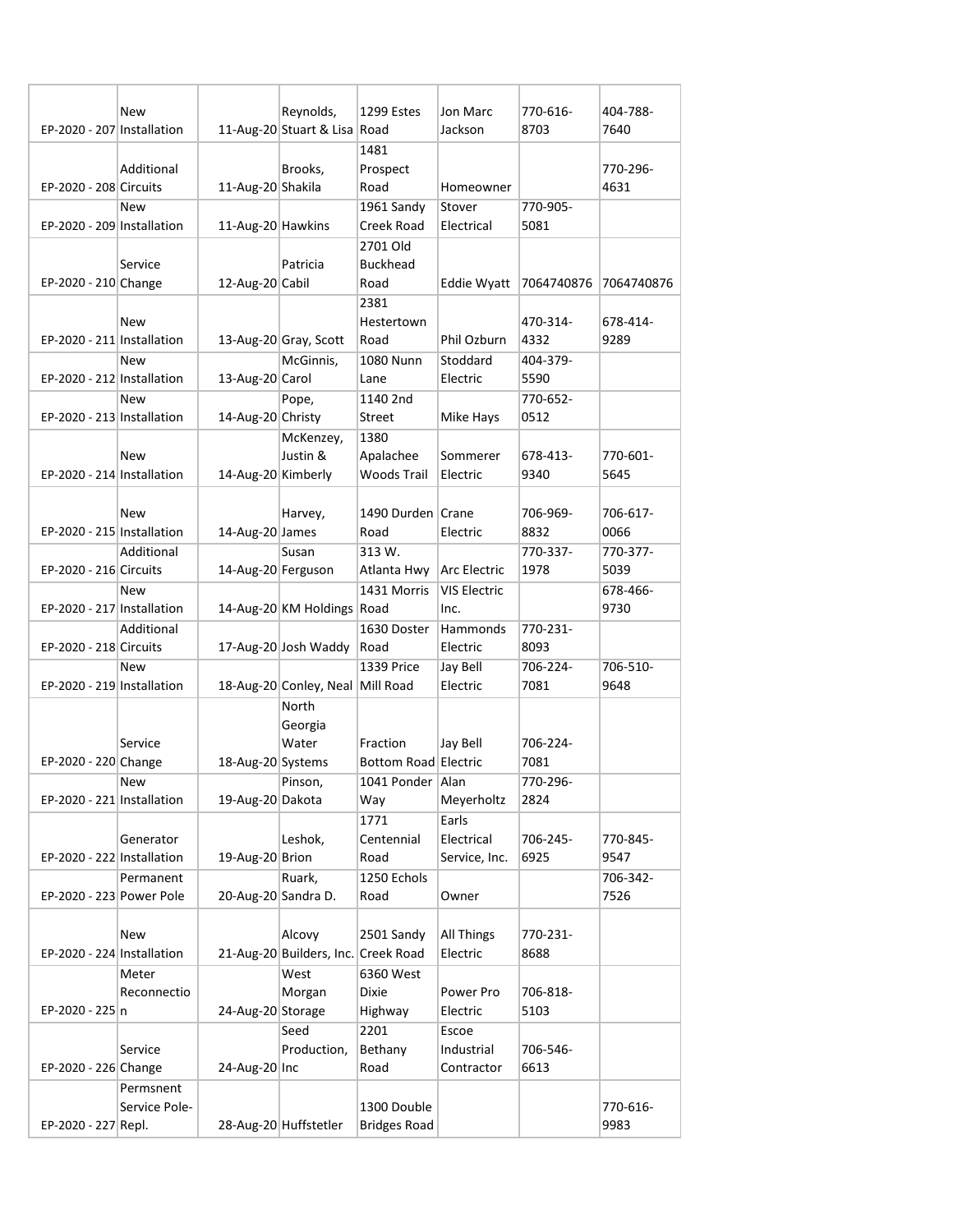| EP-2020 - 207 Installation | New           |                     | Reynolds,<br>11-Aug-20 Stuart & Lisa Road | <b>1299 Estes</b>                  | Jon Marc<br>Jackson | 770-616-<br>8703 | 404-788-<br>7640 |
|----------------------------|---------------|---------------------|-------------------------------------------|------------------------------------|---------------------|------------------|------------------|
|                            |               |                     |                                           | 1481                               |                     |                  |                  |
|                            | Additional    |                     | Brooks,                                   | Prospect                           |                     |                  | 770-296-         |
| EP-2020 - 208 Circuits     |               | 11-Aug-20 Shakila   |                                           | Road                               | Homeowner           |                  | 4631             |
|                            | <b>New</b>    |                     |                                           | 1961 Sandy                         | Stover              | 770-905-         |                  |
| EP-2020 - 209 Installation |               | 11-Aug-20 Hawkins   |                                           | Creek Road                         | Electrical          | 5081             |                  |
|                            |               |                     |                                           | 2701 Old                           |                     |                  |                  |
|                            | Service       |                     | Patricia                                  | <b>Buckhead</b>                    |                     |                  |                  |
| EP-2020 - 210 Change       |               | 12-Aug-20 Cabil     |                                           | Road                               | Eddie Wyatt         | 7064740876       | 7064740876       |
|                            |               |                     |                                           | 2381                               |                     |                  |                  |
|                            | New           |                     |                                           | Hestertown                         |                     | 470-314-         | 678-414-         |
| EP-2020 - 211 Installation |               |                     | 13-Aug-20 Gray, Scott                     | Road                               | Phil Ozburn         | 4332             | 9289             |
|                            | <b>New</b>    |                     | McGinnis,                                 | 1080 Nunn                          | Stoddard            | 404-379-         |                  |
| EP-2020 - 212 Installation |               | 13-Aug-20 Carol     |                                           | Lane                               | Electric            | 5590             |                  |
|                            | <b>New</b>    |                     | Pope,                                     | 1140 2nd                           |                     | 770-652-         |                  |
| EP-2020 - 213 Installation |               | 14-Aug-20 Christy   |                                           | Street                             | Mike Hays           | 0512             |                  |
|                            |               |                     | McKenzey,                                 | 1380                               |                     |                  |                  |
|                            | <b>New</b>    |                     | Justin &                                  | Apalachee                          | Sommerer            | 678-413-         | 770-601-         |
| EP-2020 - 214 Installation |               | 14-Aug-20 Kimberly  |                                           | Woods Trail                        | Electric            | 9340             | 5645             |
|                            |               |                     |                                           | 1490 Durden Crane                  |                     |                  |                  |
| EP-2020 - 215 Installation | New           |                     | Harvey,                                   | Road                               | Electric            | 706-969-<br>8832 | 706-617-<br>0066 |
|                            | Additional    | 14-Aug-20 James     | Susan                                     | 313 W.                             |                     | 770-337-         | 770-377-         |
| EP-2020 - 216 Circuits     |               | 14-Aug-20 Ferguson  |                                           | Atlanta Hwy                        | Arc Electric        | 1978             | 5039             |
|                            | <b>New</b>    |                     |                                           | 1431 Morris                        | <b>VIS Electric</b> |                  | 678-466-         |
| EP-2020 - 217 Installation |               |                     | 14-Aug-20 KM Holdings Road                |                                    | Inc.                |                  | 9730             |
|                            | Additional    |                     |                                           | 1630 Doster                        | Hammonds            | 770-231-         |                  |
| EP-2020 - 218 Circuits     |               |                     | 17-Aug-20 Josh Waddy                      | Road                               | Electric            | 8093             |                  |
|                            | <b>New</b>    |                     |                                           | <b>1339 Price</b>                  | Jay Bell            | 706-224-         | 706-510-         |
| EP-2020 - 219 Installation |               |                     | 18-Aug-20 Conley, Neal Mill Road          |                                    | Electric            | 7081             | 9648             |
|                            |               |                     | North                                     |                                    |                     |                  |                  |
|                            |               |                     | Georgia                                   |                                    |                     |                  |                  |
|                            | Service       |                     | Water                                     | Fraction                           | Jay Bell            | 706-224-         |                  |
| EP-2020 - 220 Change       |               | 18-Aug-20 Systems   |                                           | Bottom Road Electric               |                     | 7081             |                  |
|                            | New           |                     | Pinson,                                   | 1041 Ponder   Alan                 |                     | 770-296-         |                  |
| EP-2020 - 221 Installation |               | 19-Aug-20 Dakota    |                                           | Way                                | Meyerholtz          | 2824             |                  |
|                            |               |                     |                                           | 1771                               | Earls               |                  |                  |
|                            | Generator     |                     | Leshok,                                   | Centennial                         | Electrical          | 706-245-         | 770-845-         |
| EP-2020 - 222 Installation |               | 19-Aug-20 Brion     |                                           | Road                               | Service, Inc.       | 6925             | 9547             |
| EP-2020 - 223 Power Pole   | Permanent     | 20-Aug-20 Sandra D. | Ruark,                                    | 1250 Echols<br>Road                | Owner               |                  | 706-342-<br>7526 |
|                            |               |                     |                                           |                                    |                     |                  |                  |
|                            | New           |                     | Alcovy                                    | 2501 Sandy                         | All Things          | 770-231-         |                  |
| EP-2020 - 224 Installation |               |                     | 21-Aug-20 Builders, Inc. Creek Road       |                                    | Electric            | 8688             |                  |
|                            | Meter         |                     | West                                      | 6360 West                          |                     |                  |                  |
|                            | Reconnectio   |                     | Morgan                                    | Dixie                              | Power Pro           | 706-818-         |                  |
| EP-2020 - 225 n            |               | 24-Aug-20 Storage   |                                           | Highway                            | Electric            | 5103             |                  |
|                            |               |                     | Seed                                      | 2201                               | Escoe               |                  |                  |
|                            | Service       |                     | Production,                               | Bethany                            | Industrial          | 706-546-         |                  |
| EP-2020 - 226 Change       |               | 24-Aug-20 Inc       |                                           | Road                               | Contractor          | 6613             |                  |
|                            | Permsnent     |                     |                                           |                                    |                     |                  |                  |
|                            |               |                     |                                           |                                    |                     |                  |                  |
|                            | Service Pole- |                     | 28-Aug-20 Huffstetler                     | 1300 Double<br><b>Bridges Road</b> |                     |                  | 770-616-<br>9983 |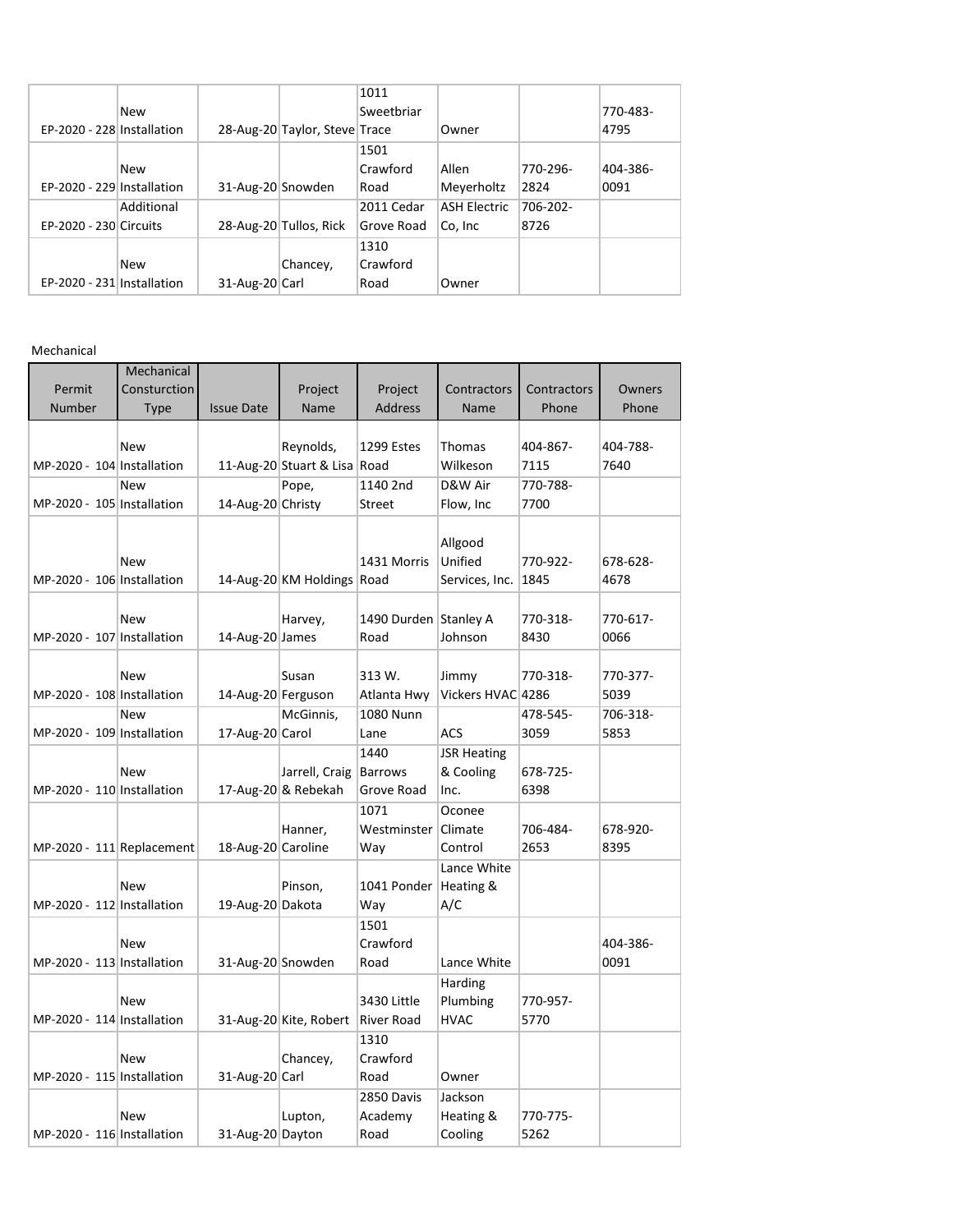|                            |            |                   |                               | 1011       |                     |          |          |
|----------------------------|------------|-------------------|-------------------------------|------------|---------------------|----------|----------|
|                            | <b>New</b> |                   |                               | Sweetbriar |                     |          | 770-483- |
| EP-2020 - 228 Installation |            |                   | 28-Aug-20 Taylor, Steve Trace |            | Owner               |          | 4795     |
|                            |            |                   |                               | 1501       |                     |          |          |
|                            | <b>New</b> |                   |                               | Crawford   | Allen               | 770-296- | 404-386- |
| EP-2020 - 229 Installation |            | 31-Aug-20 Snowden |                               | Road       | Meyerholtz          | 2824     | 0091     |
|                            | Additional |                   |                               | 2011 Cedar | <b>ASH Electric</b> | 706-202- |          |
| EP-2020 - 230 Circuits     |            |                   | 28-Aug-20 Tullos, Rick        | Grove Road | Co, Inc             | 8726     |          |
|                            |            |                   |                               | 1310       |                     |          |          |
|                            | <b>New</b> |                   | Chancey,                      | Crawford   |                     |          |          |
| EP-2020 - 231 Installation |            | 31-Aug-20 Carl    |                               | Road       | Owner               |          |          |
|                            |            |                   |                               |            |                     |          |          |

Mechanical

|                             | Mechanical   |                    |                              |                       |                    |             |          |
|-----------------------------|--------------|--------------------|------------------------------|-----------------------|--------------------|-------------|----------|
| Permit                      | Consturction |                    | Project                      | Project               | Contractors        | Contractors | Owners   |
| Number                      | <b>Type</b>  | <b>Issue Date</b>  | Name                         | <b>Address</b>        | Name               | Phone       | Phone    |
|                             |              |                    |                              |                       |                    |             |          |
|                             | New          |                    | Reynolds,                    | 1299 Estes            | Thomas             | 404-867-    | 404-788- |
| MP-2020 - 104 Installation  |              |                    | 11-Aug-20 Stuart & Lisa Road |                       | Wilkeson           | 7115        | 7640     |
|                             | <b>New</b>   |                    | Pope,                        | 1140 2nd              | D&W Air            | 770-788-    |          |
| MP-2020 - 105 Installation  |              | 14-Aug-20 Christy  |                              | <b>Street</b>         | Flow, Inc          | 7700        |          |
|                             |              |                    |                              |                       |                    |             |          |
|                             |              |                    |                              |                       | Allgood            |             |          |
|                             | <b>New</b>   |                    |                              | 1431 Morris           | Unified            | 770-922-    | 678-628- |
| MP-2020 - 106 Installation  |              |                    | 14-Aug-20 KM Holdings Road   |                       | Services, Inc.     | 1845        | 4678     |
|                             |              |                    |                              |                       |                    |             |          |
|                             | <b>New</b>   |                    | Harvey,                      | 1490 Durden Stanley A |                    | 770-318-    | 770-617- |
| MP-2020 - 107 Installation  |              | 14-Aug-20 James    |                              | Road                  | Johnson            | 8430        | 0066     |
|                             |              |                    |                              |                       |                    |             |          |
|                             | <b>New</b>   |                    | Susan                        | 313 W.                | Jimmy              | 770-318-    | 770-377- |
| MP-2020 - 108 Installation  |              | 14-Aug-20 Ferguson |                              | Atlanta Hwy           | Vickers HVAC 4286  |             | 5039     |
|                             | <b>New</b>   |                    | McGinnis,                    | 1080 Nunn             |                    | 478-545-    | 706-318- |
| MP-2020 - 109 Installation  |              | 17-Aug-20 Carol    |                              | Lane                  | ACS                | 3059        | 5853     |
|                             |              |                    |                              | 1440                  | <b>JSR Heating</b> |             |          |
|                             | <b>New</b>   |                    | Jarrell, Craig               | <b>Barrows</b>        | & Cooling          | 678-725-    |          |
| MP-2020 - 110 Installation  |              |                    | 17-Aug-20 & Rebekah          | Grove Road            | Inc.               | 6398        |          |
|                             |              |                    |                              | 1071                  | Oconee             |             |          |
|                             |              |                    | Hanner,                      | Westminster Climate   |                    | 706-484-    | 678-920- |
| $MP-2020 - 111$ Replacement |              | 18-Aug-20 Caroline |                              | Way                   | Control            | 2653        | 8395     |
|                             |              |                    |                              |                       | Lance White        |             |          |
|                             | New          |                    | Pinson,                      | 1041 Ponder           | Heating &          |             |          |
| MP-2020 - 112 Installation  |              | 19-Aug-20 Dakota   |                              | Way                   | A/C                |             |          |
|                             |              |                    |                              | 1501                  |                    |             |          |
|                             | <b>New</b>   |                    |                              | Crawford              |                    |             | 404-386- |
| MP-2020 - 113 Installation  |              | 31-Aug-20 Snowden  |                              | Road                  | Lance White        |             | 0091     |
|                             |              |                    |                              |                       | Harding            |             |          |
|                             | New          |                    |                              | 3430 Little           | Plumbing           | 770-957-    |          |
| MP-2020 - 114 Installation  |              |                    | 31-Aug-20 Kite, Robert       | <b>River Road</b>     | <b>HVAC</b>        | 5770        |          |
|                             |              |                    |                              | 1310                  |                    |             |          |
|                             | <b>New</b>   |                    | Chancey,                     | Crawford              |                    |             |          |
| MP-2020 - 115 Installation  |              | 31-Aug-20 Carl     |                              | Road                  | Owner              |             |          |
|                             |              |                    |                              | 2850 Davis            | Jackson            |             |          |
|                             | <b>New</b>   |                    | Lupton,                      | Academy               | Heating &          | 770-775-    |          |
| MP-2020 - 116 Installation  |              | 31-Aug-20 Dayton   |                              | Road                  | Cooling            | 5262        |          |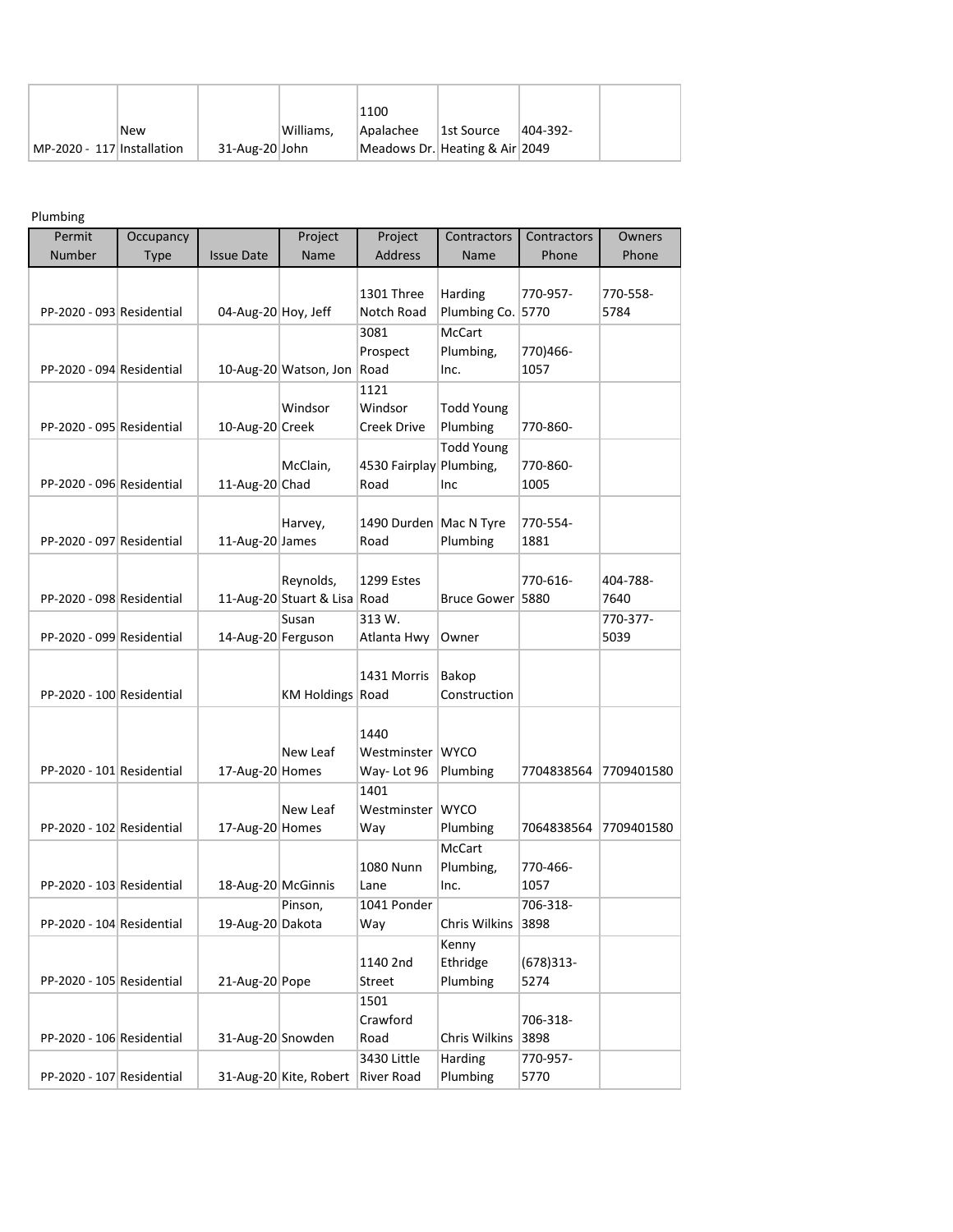|                            |            |                |           | 1100                           |            |          |
|----------------------------|------------|----------------|-----------|--------------------------------|------------|----------|
|                            | <b>New</b> |                | Williams. | Apalachee                      | 1st Source | 404-392- |
| MP-2020 - 117 Installation |            | 31-Aug-20 John |           | Meadows Dr. Heating & Air 2049 |            |          |

Plumbing

| Permit                    | Occupancy   |                     | Project                      | Project                  | Contractors                        | Contractors | Owners           |
|---------------------------|-------------|---------------------|------------------------------|--------------------------|------------------------------------|-------------|------------------|
| Number                    | <b>Type</b> | <b>Issue Date</b>   | Name                         | <b>Address</b>           | Name                               | Phone       | Phone            |
|                           |             |                     |                              |                          |                                    |             |                  |
| PP-2020 - 093 Residential |             |                     |                              | 1301 Three               | Harding                            | 770-957-    | 770-558-<br>5784 |
|                           |             | 04-Aug-20 Hoy, Jeff |                              | Notch Road<br>3081       | Plumbing Co. 5770<br><b>McCart</b> |             |                  |
|                           |             |                     |                              | Prospect                 | Plumbing,                          | 770)466-    |                  |
| PP-2020 - 094 Residential |             |                     | 10-Aug-20 Watson, Jon        | Road                     | Inc.                               | 1057        |                  |
|                           |             |                     |                              | 1121                     |                                    |             |                  |
|                           |             |                     | Windsor                      | Windsor                  | <b>Todd Young</b>                  |             |                  |
| PP-2020 - 095 Residential |             | 10-Aug-20 Creek     |                              | <b>Creek Drive</b>       | Plumbing                           | 770-860-    |                  |
|                           |             |                     |                              |                          | <b>Todd Young</b>                  |             |                  |
|                           |             |                     | McClain,                     | 4530 Fairplay Plumbing,  |                                    | 770-860-    |                  |
| PP-2020 - 096 Residential |             | 11-Aug-20 Chad      |                              | Road                     | Inc                                | 1005        |                  |
|                           |             |                     |                              |                          |                                    |             |                  |
|                           |             |                     | Harvey,                      | 1490 Durden   Mac N Tyre |                                    | 770-554-    |                  |
| PP-2020 - 097 Residential |             | 11-Aug-20 James     |                              | Road                     | Plumbing                           | 1881        |                  |
|                           |             |                     |                              |                          |                                    |             |                  |
|                           |             |                     | Reynolds,                    | 1299 Estes               |                                    | 770-616-    | 404-788-         |
| PP-2020 - 098 Residential |             |                     | 11-Aug-20 Stuart & Lisa Road |                          | Bruce Gower 5880                   |             | 7640             |
|                           |             |                     | Susan                        | 313 W.                   |                                    |             | 770-377-         |
| PP-2020 - 099 Residential |             | 14-Aug-20 Ferguson  |                              | Atlanta Hwy              | Owner                              |             | 5039             |
|                           |             |                     |                              | 1431 Morris              |                                    |             |                  |
| PP-2020 - 100 Residential |             |                     | KM Holdings Road             |                          | Bakop<br>Construction              |             |                  |
|                           |             |                     |                              |                          |                                    |             |                  |
|                           |             |                     |                              | 1440                     |                                    |             |                  |
|                           |             |                     | New Leaf                     | Westminster WYCO         |                                    |             |                  |
| PP-2020 - 101 Residential |             | 17-Aug-20 Homes     |                              | Way-Lot 96               | Plumbing                           | 7704838564  | 7709401580       |
|                           |             |                     |                              | 1401                     |                                    |             |                  |
|                           |             |                     | New Leaf                     | Westminster WYCO         |                                    |             |                  |
| PP-2020 - 102 Residential |             | 17-Aug-20 Homes     |                              | Way                      | Plumbing                           | 7064838564  | 7709401580       |
|                           |             |                     |                              |                          | <b>McCart</b>                      |             |                  |
|                           |             |                     |                              | 1080 Nunn                | Plumbing,                          | 770-466-    |                  |
| PP-2020 - 103 Residential |             | 18-Aug-20 McGinnis  |                              | Lane                     | Inc.                               | 1057        |                  |
|                           |             |                     | Pinson,                      | 1041 Ponder              |                                    | 706-318-    |                  |
| PP-2020 - 104 Residential |             | 19-Aug-20 Dakota    |                              | Way                      | Chris Wilkins 3898                 |             |                  |
|                           |             |                     |                              |                          | Kenny                              |             |                  |
|                           |             | 21-Aug-20 Pope      |                              | 1140 2nd                 | Ethridge                           | $(678)313-$ |                  |
| PP-2020 - 105 Residential |             |                     |                              | Street<br>1501           | Plumbing                           | 5274        |                  |
|                           |             |                     |                              | Crawford                 |                                    | 706-318-    |                  |
| PP-2020 - 106 Residential |             | 31-Aug-20 Snowden   |                              | Road                     | Chris Wilkins                      | 3898        |                  |
|                           |             |                     |                              | 3430 Little              | Harding                            | 770-957-    |                  |
| PP-2020 - 107 Residential |             |                     | 31-Aug-20 Kite, Robert       | <b>River Road</b>        | Plumbing                           | 5770        |                  |